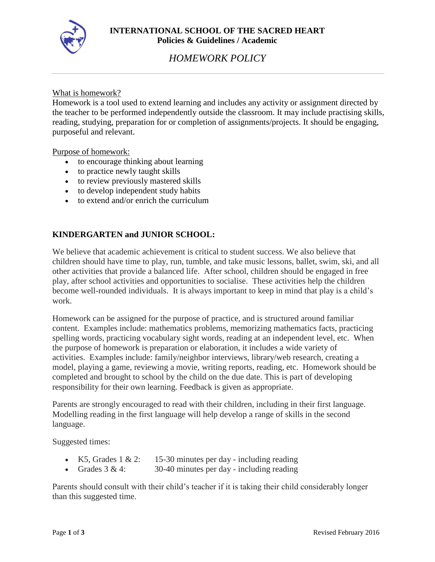

# *HOMEWORK POLICY*

#### What is homework?

Homework is a tool used to extend learning and includes any activity or assignment directed by the teacher to be performed independently outside the classroom. It may include practising skills, reading, studying, preparation for or completion of assignments/projects. It should be engaging, purposeful and relevant.

#### Purpose of homework:

- to encourage thinking about learning
- to practice newly taught skills
- to review previously mastered skills
- to develop independent study habits
- to extend and/or enrich the curriculum

### **KINDERGARTEN and JUNIOR SCHOOL:**

We believe that academic achievement is critical to student success. We also believe that children should have time to play, run, tumble, and take music lessons, ballet, swim, ski, and all other activities that provide a balanced life. After school, children should be engaged in free play, after school activities and opportunities to socialise. These activities help the children become well-rounded individuals. It is always important to keep in mind that play is a child's work.

Homework can be assigned for the purpose of practice, and is structured around familiar content. Examples include: mathematics problems, memorizing mathematics facts, practicing spelling words, practicing vocabulary sight words, reading at an independent level, etc. When the purpose of homework is preparation or elaboration, it includes a wide variety of activities. Examples include: family/neighbor interviews, library/web research, creating a model, playing a game, reviewing a movie, writing reports, reading, etc. Homework should be completed and brought to school by the child on the due date. This is part of developing responsibility for their own learning. Feedback is given as appropriate.

Parents are strongly encouraged to read with their children, including in their first language. Modelling reading in the first language will help develop a range of skills in the second language.

Suggested times:

- K5, Grades 1 & 2: 15-30 minutes per day including reading
- Grades  $3 \& 4$ :  $30-40$  minutes per day including reading

Parents should consult with their child's teacher if it is taking their child considerably longer than this suggested time.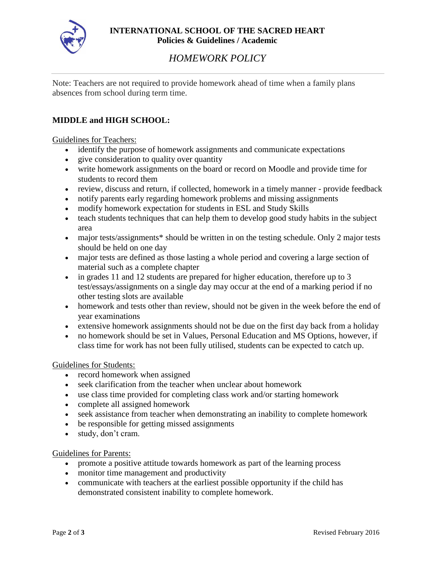

# *HOMEWORK POLICY*

Note: Teachers are not required to provide homework ahead of time when a family plans absences from school during term time.

## **MIDDLE and HIGH SCHOOL:**

Guidelines for Teachers:

- identify the purpose of homework assignments and communicate expectations
- give consideration to quality over quantity
- write homework assignments on the board or record on Moodle and provide time for students to record them
- review, discuss and return, if collected, homework in a timely manner provide feedback
- notify parents early regarding homework problems and missing assignments
- modify homework expectation for students in ESL and Study Skills
- teach students techniques that can help them to develop good study habits in the subject area
- major tests/assignments\* should be written in on the testing schedule. Only 2 major tests should be held on one day
- major tests are defined as those lasting a whole period and covering a large section of material such as a complete chapter
- in grades 11 and 12 students are prepared for higher education, therefore up to 3 test/essays/assignments on a single day may occur at the end of a marking period if no other testing slots are available
- homework and tests other than review, should not be given in the week before the end of year examinations
- extensive homework assignments should not be due on the first day back from a holiday
- no homework should be set in Values, Personal Education and MS Options, however, if class time for work has not been fully utilised, students can be expected to catch up.

#### Guidelines for Students:

- record homework when assigned
- seek clarification from the teacher when unclear about homework
- use class time provided for completing class work and/or starting homework
- complete all assigned homework
- seek assistance from teacher when demonstrating an inability to complete homework
- be responsible for getting missed assignments
- study, don't cram.

#### Guidelines for Parents:

- promote a positive attitude towards homework as part of the learning process
- monitor time management and productivity
- communicate with teachers at the earliest possible opportunity if the child has demonstrated consistent inability to complete homework.